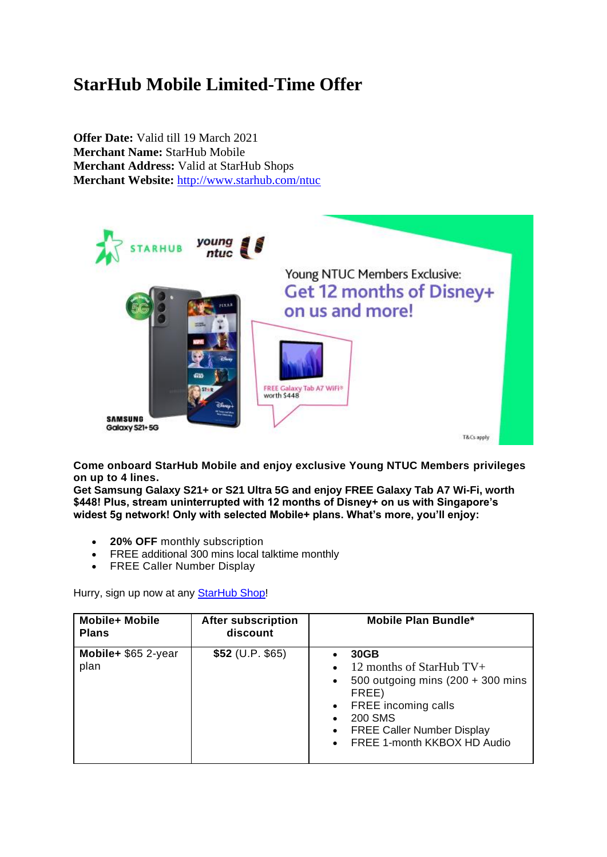## **StarHub Mobile Limited-Time Offer**

**Offer Date:** Valid till 19 March 2021 **Merchant Name:** StarHub Mobile **Merchant Address:** Valid at StarHub Shops **Merchant Website:** <http://www.starhub.com/ntuc>



**Come onboard StarHub Mobile and enjoy exclusive Young NTUC Members privileges on up to 4 lines.** 

**Get Samsung Galaxy S21+ or S21 Ultra 5G and enjoy FREE Galaxy Tab A7 Wi-Fi, worth \$448! Plus, stream uninterrupted with 12 months of Disney+ on us with Singapore's widest 5g network! Only with selected Mobile+ plans. What's more, you'll enjoy:** 

- **20% OFF** monthly subscription
- FREE additional 300 mins local talktime monthly
- FREE Caller Number Display

Hurry, sign up now at any **[StarHub Shop!](https://www.starhub.com/personal/support/locate-us/starhub-shops.html)** 

| <b>Mobile+ Mobile</b><br><b>Plans</b> | <b>After subscription</b><br>discount | Mobile Plan Bundle*                                                                                                                                                                                                                                                                        |
|---------------------------------------|---------------------------------------|--------------------------------------------------------------------------------------------------------------------------------------------------------------------------------------------------------------------------------------------------------------------------------------------|
| Mobile+ \$65 2-year<br>plan           | $$52$ (U.P. \$65)                     | 30GB<br>$\bullet$<br>12 months of StarHub $TV+$<br>$\bullet$<br>500 outgoing mins $(200 + 300$ mins<br>$\bullet$<br>FREE)<br>FREE incoming calls<br>$\bullet$<br><b>200 SMS</b><br>$\bullet$<br><b>FREE Caller Number Display</b><br>$\bullet$<br>FREE 1-month KKBOX HD Audio<br>$\bullet$ |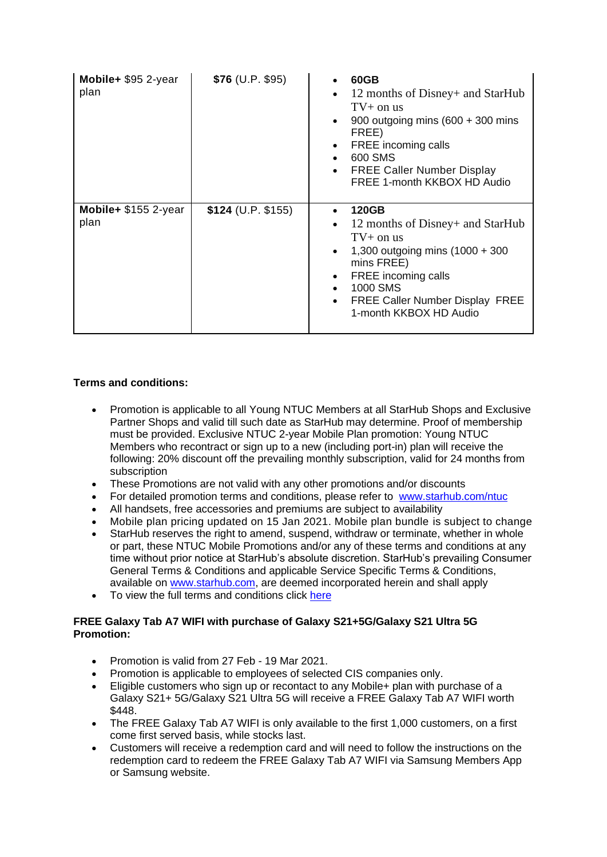| Mobile+ \$95 2-year<br>plan  | $$76$ (U.P. \$95)  | 60GB<br>12 months of Disney+ and StarHub<br>$\bullet$<br>$TV+$ on us<br>900 outgoing mins $(600 + 300)$ mins<br>$\bullet$<br>FREE)<br>FREE incoming calls<br>$\bullet$<br>600 SMS<br>$\bullet$<br><b>FREE Caller Number Display</b><br>$\bullet$<br>FREE 1-month KKBOX HD Audio                  |
|------------------------------|--------------------|--------------------------------------------------------------------------------------------------------------------------------------------------------------------------------------------------------------------------------------------------------------------------------------------------|
| Mobile+ \$155 2-year<br>plan | \$124 (U.P. \$155) | <b>120GB</b><br>$\bullet$<br>12 months of Disney+ and StarHub<br>$\bullet$<br>$TV+$ on us<br>1,300 outgoing mins $(1000 + 300)$<br>$\bullet$<br>mins FREE)<br>FREE incoming calls<br>٠<br>1000 SMS<br>$\bullet$<br><b>FREE Caller Number Display FREE</b><br>$\bullet$<br>1-month KKBOX HD Audio |

## **Terms and conditions:**

- Promotion is applicable to all Young NTUC Members at all StarHub Shops and Exclusive Partner Shops and valid till such date as StarHub may determine. Proof of membership must be provided. Exclusive NTUC 2-year Mobile Plan promotion: Young NTUC Members who recontract or sign up to a new (including port-in) plan will receive the following: 20% discount off the prevailing monthly subscription, valid for 24 months from subscription
- These Promotions are not valid with any other promotions and/or discounts<br>• For detailed promotion terms and conditions please refer to www starbub of
- For detailed promotion terms and conditions, please refer to [www.starhub.com/ntuc](http://www.starhub.com/ntuc)
- All handsets, free accessories and premiums are subject to availability
- Mobile plan pricing updated on 15 Jan 2021. Mobile plan bundle is subject to change
- StarHub reserves the right to amend, suspend, withdraw or terminate, whether in whole or part, these NTUC Mobile Promotions and/or any of these terms and conditions at any time without prior notice at StarHub's absolute discretion. StarHub's prevailing Consumer General Terms & Conditions and applicable Service Specific Terms & Conditions, available on [www.starhub.com,](http://www.starhub.com/) are deemed incorporated herein and shall apply
- To view the full terms and conditions click [here](http://www.starhub.com/about-us/legal-notices-and-terms/terms-and-conditions/business/starhub-ntuc-exclusive-mobile-offers.html)

## **FREE Galaxy Tab A7 WIFI with purchase of Galaxy S21+5G/Galaxy S21 Ultra 5G Promotion:**

- Promotion is valid from 27 Feb 19 Mar 2021.
- Promotion is applicable to employees of selected CIS companies only.
- Eligible customers who sign up or recontact to any Mobile+ plan with purchase of a Galaxy S21+ 5G/Galaxy S21 Ultra 5G will receive a FREE Galaxy Tab A7 WIFI worth \$448.
- The FREE Galaxy Tab A7 WIFI is only available to the first 1,000 customers, on a first come first served basis, while stocks last.
- Customers will receive a redemption card and will need to follow the instructions on the redemption card to redeem the FREE Galaxy Tab A7 WIFI via Samsung Members App or Samsung website.